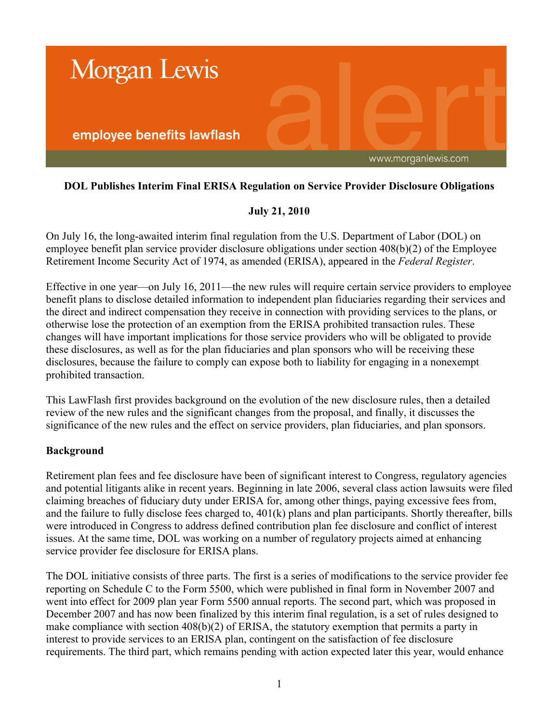

## **DOL Publishes Interim Final ERISA Regulation on Service Provider Disclosure Obligations**

## **July 21, 2010**

On July 16, the long-awaited interim final regulation from the U.S. Department of Labor (DOL) on employee benefit plan service provider disclosure obligations under section 408(b)(2) of the Employee Retirement Income Security Act of 1974, as amended (ERISA), appeared in the *Federal Register*.

Effective in one year—on July 16, 2011—the new rules will require certain service providers to employee benefit plans to disclose detailed information to independent plan fiduciaries regarding their services and the direct and indirect compensation they receive in connection with providing services to the plans, or otherwise lose the protection of an exemption from the ERISA prohibited transaction rules. These changes will have important implications for those service providers who will be obligated to provide these disclosures, as well as for the plan fiduciaries and plan sponsors who will be receiving these disclosures, because the failure to comply can expose both to liability for engaging in a nonexempt prohibited transaction.

This LawFlash first provides background on the evolution of the new disclosure rules, then a detailed review of the new rules and the significant changes from the proposal, and finally, it discusses the significance of the new rules and the effect on service providers, plan fiduciaries, and plan sponsors.

#### **Background**

Retirement plan fees and fee disclosure have been of significant interest to Congress, regulatory agencies and potential litigants alike in recent years. Beginning in late 2006, several class action lawsuits were filed claiming breaches of fiduciary duty under ERISA for, among other things, paying excessive fees from, and the failure to fully disclose fees charged to, 401(k) plans and plan participants. Shortly thereafter, bills were introduced in Congress to address defined contribution plan fee disclosure and conflict of interest issues. At the same time, DOL was working on a number of regulatory projects aimed at enhancing service provider fee disclosure for ERISA plans.

The DOL initiative consists of three parts. The first is a series of modifications to the service provider fee reporting on Schedule C to the Form 5500, which were published in final form in November 2007 and went into effect for 2009 plan year Form 5500 annual reports. The second part, which was proposed in December 2007 and has now been finalized by this interim final regulation, is a set of rules designed to make compliance with section 408(b)(2) of ERISA, the statutory exemption that permits a party in interest to provide services to an ERISA plan, contingent on the satisfaction of fee disclosure requirements. The third part, which remains pending with action expected later this year, would enhance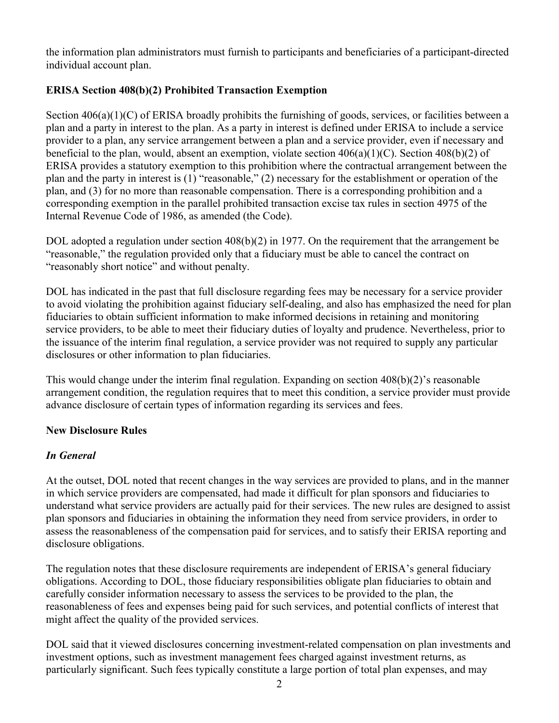the information plan administrators must furnish to participants and beneficiaries of a participant-directed individual account plan.

# **ERISA Section 408(b)(2) Prohibited Transaction Exemption**

Section 406(a)(1)(C) of ERISA broadly prohibits the furnishing of goods, services, or facilities between a plan and a party in interest to the plan. As a party in interest is defined under ERISA to include a service provider to a plan, any service arrangement between a plan and a service provider, even if necessary and beneficial to the plan, would, absent an exemption, violate section 406(a)(1)(C). Section 408(b)(2) of ERISA provides a statutory exemption to this prohibition where the contractual arrangement between the plan and the party in interest is (1) "reasonable," (2) necessary for the establishment or operation of the plan, and (3) for no more than reasonable compensation. There is a corresponding prohibition and a corresponding exemption in the parallel prohibited transaction excise tax rules in section 4975 of the Internal Revenue Code of 1986, as amended (the Code).

DOL adopted a regulation under section 408(b)(2) in 1977. On the requirement that the arrangement be "reasonable," the regulation provided only that a fiduciary must be able to cancel the contract on "reasonably short notice" and without penalty.

DOL has indicated in the past that full disclosure regarding fees may be necessary for a service provider to avoid violating the prohibition against fiduciary self-dealing, and also has emphasized the need for plan fiduciaries to obtain sufficient information to make informed decisions in retaining and monitoring service providers, to be able to meet their fiduciary duties of loyalty and prudence. Nevertheless, prior to the issuance of the interim final regulation, a service provider was not required to supply any particular disclosures or other information to plan fiduciaries.

This would change under the interim final regulation. Expanding on section 408(b)(2)'s reasonable arrangement condition, the regulation requires that to meet this condition, a service provider must provide advance disclosure of certain types of information regarding its services and fees.

# **New Disclosure Rules**

# *In General*

At the outset, DOL noted that recent changes in the way services are provided to plans, and in the manner in which service providers are compensated, had made it difficult for plan sponsors and fiduciaries to understand what service providers are actually paid for their services. The new rules are designed to assist plan sponsors and fiduciaries in obtaining the information they need from service providers, in order to assess the reasonableness of the compensation paid for services, and to satisfy their ERISA reporting and disclosure obligations.

The regulation notes that these disclosure requirements are independent of ERISA's general fiduciary obligations. According to DOL, those fiduciary responsibilities obligate plan fiduciaries to obtain and carefully consider information necessary to assess the services to be provided to the plan, the reasonableness of fees and expenses being paid for such services, and potential conflicts of interest that might affect the quality of the provided services.

DOL said that it viewed disclosures concerning investment-related compensation on plan investments and investment options, such as investment management fees charged against investment returns, as particularly significant. Such fees typically constitute a large portion of total plan expenses, and may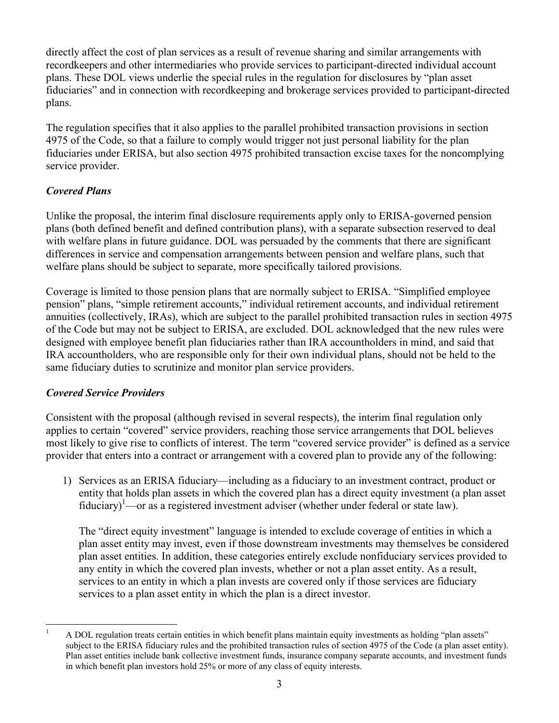directly affect the cost of plan services as a result of revenue sharing and similar arrangements with recordkeepers and other intermediaries who provide services to participant-directed individual account plans. These DOL views underlie the special rules in the regulation for disclosures by "plan asset fiduciaries" and in connection with recordkeeping and brokerage services provided to participant-directed plans.

The regulation specifies that it also applies to the parallel prohibited transaction provisions in section 4975 of the Code, so that a failure to comply would trigger not just personal liability for the plan fiduciaries under ERISA, but also section 4975 prohibited transaction excise taxes for the noncomplying service provider.

# *Covered Plans*

Unlike the proposal, the interim final disclosure requirements apply only to ERISA-governed pension plans (both defined benefit and defined contribution plans), with a separate subsection reserved to deal with welfare plans in future guidance. DOL was persuaded by the comments that there are significant differences in service and compensation arrangements between pension and welfare plans, such that welfare plans should be subject to separate, more specifically tailored provisions.

Coverage is limited to those pension plans that are normally subject to ERISA. "Simplified employee pension" plans, "simple retirement accounts," individual retirement accounts, and individual retirement annuities (collectively, IRAs), which are subject to the parallel prohibited transaction rules in section 4975 of the Code but may not be subject to ERISA, are excluded. DOL acknowledged that the new rules were designed with employee benefit plan fiduciaries rather than IRA accountholders in mind, and said that IRA accountholders, who are responsible only for their own individual plans, should not be held to the same fiduciary duties to scrutinize and monitor plan service providers.

# *Covered Service Providers*

Consistent with the proposal (although revised in several respects), the interim final regulation only applies to certain "covered" service providers, reaching those service arrangements that DOL believes most likely to give rise to conflicts of interest. The term "covered service provider" is defined as a service provider that enters into a contract or arrangement with a covered plan to provide any of the following:

1) Services as an ERISA fiduciary—including as a fiduciary to an investment contract, product or entity that holds plan assets in which the covered plan has a direct equity investment (a plan asset fiduciary)<sup>1</sup>—or as a registered investment adviser (whether under federal or state law).

The "direct equity investment" language is intended to exclude coverage of entities in which a plan asset entity may invest, even if those downstream investments may themselves be considered plan asset entities. In addition, these categories entirely exclude nonfiduciary services provided to any entity in which the covered plan invests, whether or not a plan asset entity. As a result, services to an entity in which a plan invests are covered only if those services are fiduciary services to a plan asset entity in which the plan is a direct investor.

 $\overline{a}$ <sup>1</sup> A DOL regulation treats certain entities in which benefit plans maintain equity investments as holding "plan assets" subject to the ERISA fiduciary rules and the prohibited transaction rules of section 4975 of the Code (a plan asset entity). Plan asset entities include bank collective investment funds, insurance company separate accounts, and investment funds in which benefit plan investors hold 25% or more of any class of equity interests.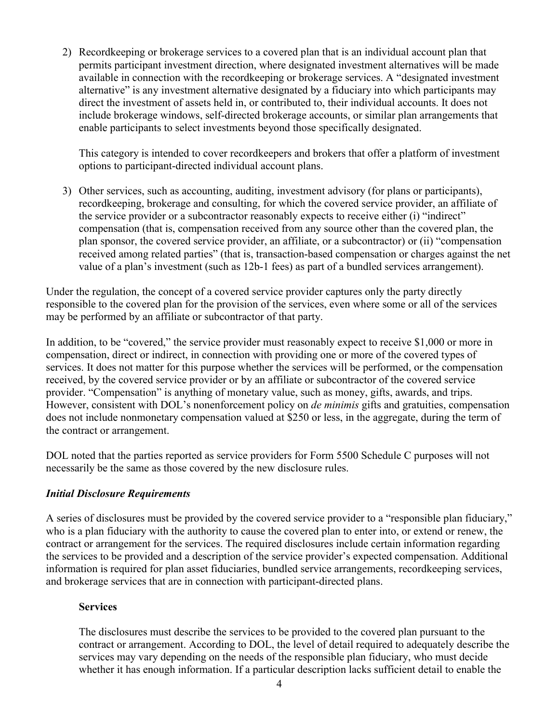2) Recordkeeping or brokerage services to a covered plan that is an individual account plan that permits participant investment direction, where designated investment alternatives will be made available in connection with the recordkeeping or brokerage services. A "designated investment alternative" is any investment alternative designated by a fiduciary into which participants may direct the investment of assets held in, or contributed to, their individual accounts. It does not include brokerage windows, self-directed brokerage accounts, or similar plan arrangements that enable participants to select investments beyond those specifically designated.

This category is intended to cover recordkeepers and brokers that offer a platform of investment options to participant-directed individual account plans.

3) Other services, such as accounting, auditing, investment advisory (for plans or participants), recordkeeping, brokerage and consulting, for which the covered service provider, an affiliate of the service provider or a subcontractor reasonably expects to receive either (i) "indirect" compensation (that is, compensation received from any source other than the covered plan, the plan sponsor, the covered service provider, an affiliate, or a subcontractor) or (ii) "compensation received among related parties" (that is, transaction-based compensation or charges against the net value of a plan's investment (such as 12b-1 fees) as part of a bundled services arrangement).

Under the regulation, the concept of a covered service provider captures only the party directly responsible to the covered plan for the provision of the services, even where some or all of the services may be performed by an affiliate or subcontractor of that party.

In addition, to be "covered," the service provider must reasonably expect to receive \$1,000 or more in compensation, direct or indirect, in connection with providing one or more of the covered types of services. It does not matter for this purpose whether the services will be performed, or the compensation received, by the covered service provider or by an affiliate or subcontractor of the covered service provider. "Compensation" is anything of monetary value, such as money, gifts, awards, and trips. However, consistent with DOL's nonenforcement policy on *de minimis* gifts and gratuities, compensation does not include nonmonetary compensation valued at \$250 or less, in the aggregate, during the term of the contract or arrangement.

DOL noted that the parties reported as service providers for Form 5500 Schedule C purposes will not necessarily be the same as those covered by the new disclosure rules.

#### *Initial Disclosure Requirements*

A series of disclosures must be provided by the covered service provider to a "responsible plan fiduciary," who is a plan fiduciary with the authority to cause the covered plan to enter into, or extend or renew, the contract or arrangement for the services. The required disclosures include certain information regarding the services to be provided and a description of the service provider's expected compensation. Additional information is required for plan asset fiduciaries, bundled service arrangements, recordkeeping services, and brokerage services that are in connection with participant-directed plans.

#### **Services**

The disclosures must describe the services to be provided to the covered plan pursuant to the contract or arrangement. According to DOL, the level of detail required to adequately describe the services may vary depending on the needs of the responsible plan fiduciary, who must decide whether it has enough information. If a particular description lacks sufficient detail to enable the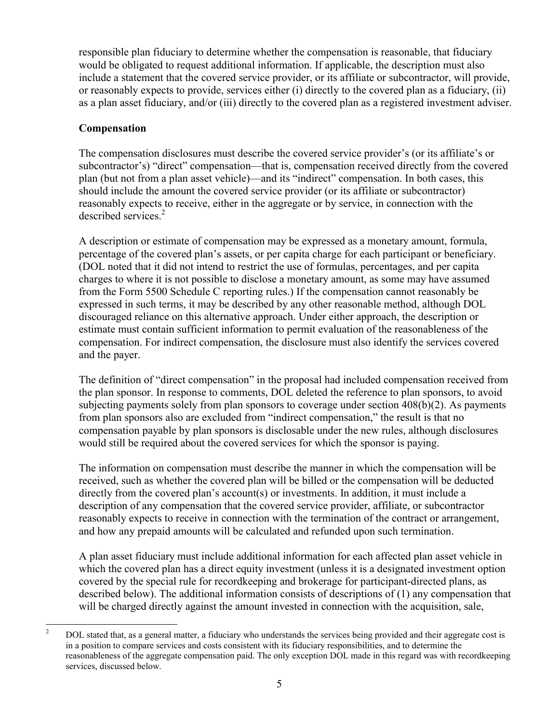responsible plan fiduciary to determine whether the compensation is reasonable, that fiduciary would be obligated to request additional information. If applicable, the description must also include a statement that the covered service provider, or its affiliate or subcontractor, will provide, or reasonably expects to provide, services either (i) directly to the covered plan as a fiduciary, (ii) as a plan asset fiduciary, and/or (iii) directly to the covered plan as a registered investment adviser.

#### **Compensation**

The compensation disclosures must describe the covered service provider's (or its affiliate's or subcontractor's) "direct" compensation—that is, compensation received directly from the covered plan (but not from a plan asset vehicle)—and its "indirect" compensation. In both cases, this should include the amount the covered service provider (or its affiliate or subcontractor) reasonably expects to receive, either in the aggregate or by service, in connection with the described services.<sup>2</sup>

A description or estimate of compensation may be expressed as a monetary amount, formula, percentage of the covered plan's assets, or per capita charge for each participant or beneficiary. (DOL noted that it did not intend to restrict the use of formulas, percentages, and per capita charges to where it is not possible to disclose a monetary amount, as some may have assumed from the Form 5500 Schedule C reporting rules.) If the compensation cannot reasonably be expressed in such terms, it may be described by any other reasonable method, although DOL discouraged reliance on this alternative approach. Under either approach, the description or estimate must contain sufficient information to permit evaluation of the reasonableness of the compensation. For indirect compensation, the disclosure must also identify the services covered and the payer.

The definition of "direct compensation" in the proposal had included compensation received from the plan sponsor. In response to comments, DOL deleted the reference to plan sponsors, to avoid subjecting payments solely from plan sponsors to coverage under section 408(b)(2). As payments from plan sponsors also are excluded from "indirect compensation," the result is that no compensation payable by plan sponsors is disclosable under the new rules, although disclosures would still be required about the covered services for which the sponsor is paying.

The information on compensation must describe the manner in which the compensation will be received, such as whether the covered plan will be billed or the compensation will be deducted directly from the covered plan's account(s) or investments. In addition, it must include a description of any compensation that the covered service provider, affiliate, or subcontractor reasonably expects to receive in connection with the termination of the contract or arrangement, and how any prepaid amounts will be calculated and refunded upon such termination.

A plan asset fiduciary must include additional information for each affected plan asset vehicle in which the covered plan has a direct equity investment (unless it is a designated investment option covered by the special rule for recordkeeping and brokerage for participant-directed plans, as described below). The additional information consists of descriptions of (1) any compensation that will be charged directly against the amount invested in connection with the acquisition, sale,

 $\overline{2}$ <sup>2</sup> DOL stated that, as a general matter, a fiduciary who understands the services being provided and their aggregate cost is in a position to compare services and costs consistent with its fiduciary responsibilities, and to determine the reasonableness of the aggregate compensation paid. The only exception DOL made in this regard was with recordkeeping services, discussed below.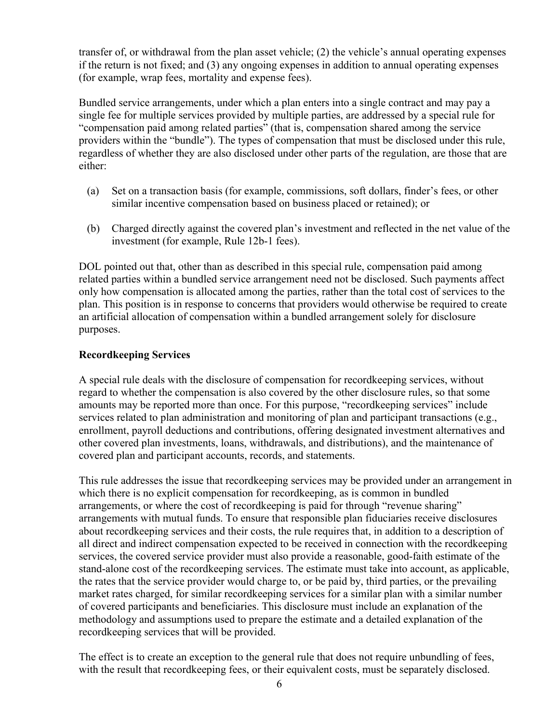transfer of, or withdrawal from the plan asset vehicle; (2) the vehicle's annual operating expenses if the return is not fixed; and (3) any ongoing expenses in addition to annual operating expenses (for example, wrap fees, mortality and expense fees).

Bundled service arrangements, under which a plan enters into a single contract and may pay a single fee for multiple services provided by multiple parties, are addressed by a special rule for "compensation paid among related parties" (that is, compensation shared among the service providers within the "bundle"). The types of compensation that must be disclosed under this rule, regardless of whether they are also disclosed under other parts of the regulation, are those that are either:

- (a) Set on a transaction basis (for example, commissions, soft dollars, finder's fees, or other similar incentive compensation based on business placed or retained); or
- (b) Charged directly against the covered plan's investment and reflected in the net value of the investment (for example, Rule 12b-1 fees).

DOL pointed out that, other than as described in this special rule, compensation paid among related parties within a bundled service arrangement need not be disclosed. Such payments affect only how compensation is allocated among the parties, rather than the total cost of services to the plan. This position is in response to concerns that providers would otherwise be required to create an artificial allocation of compensation within a bundled arrangement solely for disclosure purposes.

## **Recordkeeping Services**

A special rule deals with the disclosure of compensation for recordkeeping services, without regard to whether the compensation is also covered by the other disclosure rules, so that some amounts may be reported more than once. For this purpose, "recordkeeping services" include services related to plan administration and monitoring of plan and participant transactions (e.g., enrollment, payroll deductions and contributions, offering designated investment alternatives and other covered plan investments, loans, withdrawals, and distributions), and the maintenance of covered plan and participant accounts, records, and statements.

This rule addresses the issue that recordkeeping services may be provided under an arrangement in which there is no explicit compensation for recordkeeping, as is common in bundled arrangements, or where the cost of recordkeeping is paid for through "revenue sharing" arrangements with mutual funds. To ensure that responsible plan fiduciaries receive disclosures about recordkeeping services and their costs, the rule requires that, in addition to a description of all direct and indirect compensation expected to be received in connection with the recordkeeping services, the covered service provider must also provide a reasonable, good-faith estimate of the stand-alone cost of the recordkeeping services. The estimate must take into account, as applicable, the rates that the service provider would charge to, or be paid by, third parties, or the prevailing market rates charged, for similar recordkeeping services for a similar plan with a similar number of covered participants and beneficiaries. This disclosure must include an explanation of the methodology and assumptions used to prepare the estimate and a detailed explanation of the recordkeeping services that will be provided.

The effect is to create an exception to the general rule that does not require unbundling of fees, with the result that record keeping fees, or their equivalent costs, must be separately disclosed.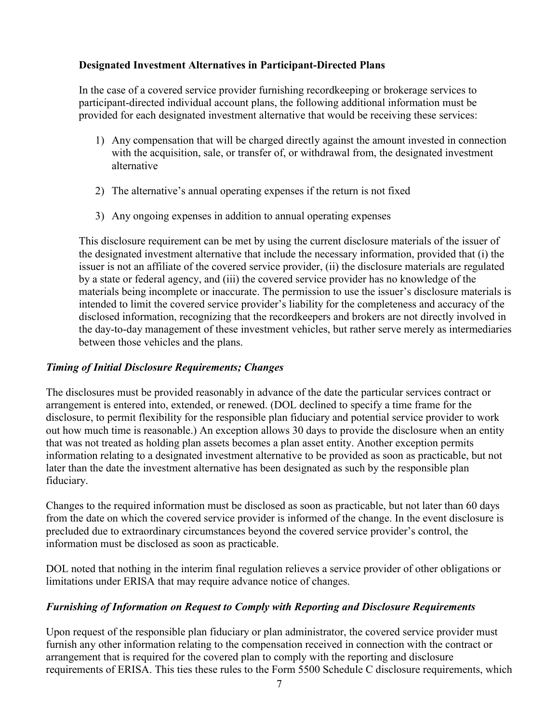## **Designated Investment Alternatives in Participant-Directed Plans**

In the case of a covered service provider furnishing recordkeeping or brokerage services to participant-directed individual account plans, the following additional information must be provided for each designated investment alternative that would be receiving these services:

- 1) Any compensation that will be charged directly against the amount invested in connection with the acquisition, sale, or transfer of, or withdrawal from, the designated investment alternative
- 2) The alternative's annual operating expenses if the return is not fixed
- 3) Any ongoing expenses in addition to annual operating expenses

This disclosure requirement can be met by using the current disclosure materials of the issuer of the designated investment alternative that include the necessary information, provided that (i) the issuer is not an affiliate of the covered service provider, (ii) the disclosure materials are regulated by a state or federal agency, and (iii) the covered service provider has no knowledge of the materials being incomplete or inaccurate. The permission to use the issuer's disclosure materials is intended to limit the covered service provider's liability for the completeness and accuracy of the disclosed information, recognizing that the recordkeepers and brokers are not directly involved in the day-to-day management of these investment vehicles, but rather serve merely as intermediaries between those vehicles and the plans.

## *Timing of Initial Disclosure Requirements; Changes*

The disclosures must be provided reasonably in advance of the date the particular services contract or arrangement is entered into, extended, or renewed. (DOL declined to specify a time frame for the disclosure, to permit flexibility for the responsible plan fiduciary and potential service provider to work out how much time is reasonable.) An exception allows 30 days to provide the disclosure when an entity that was not treated as holding plan assets becomes a plan asset entity. Another exception permits information relating to a designated investment alternative to be provided as soon as practicable, but not later than the date the investment alternative has been designated as such by the responsible plan fiduciary.

Changes to the required information must be disclosed as soon as practicable, but not later than 60 days from the date on which the covered service provider is informed of the change. In the event disclosure is precluded due to extraordinary circumstances beyond the covered service provider's control, the information must be disclosed as soon as practicable.

DOL noted that nothing in the interim final regulation relieves a service provider of other obligations or limitations under ERISA that may require advance notice of changes.

# *Furnishing of Information on Request to Comply with Reporting and Disclosure Requirements*

Upon request of the responsible plan fiduciary or plan administrator, the covered service provider must furnish any other information relating to the compensation received in connection with the contract or arrangement that is required for the covered plan to comply with the reporting and disclosure requirements of ERISA. This ties these rules to the Form 5500 Schedule C disclosure requirements, which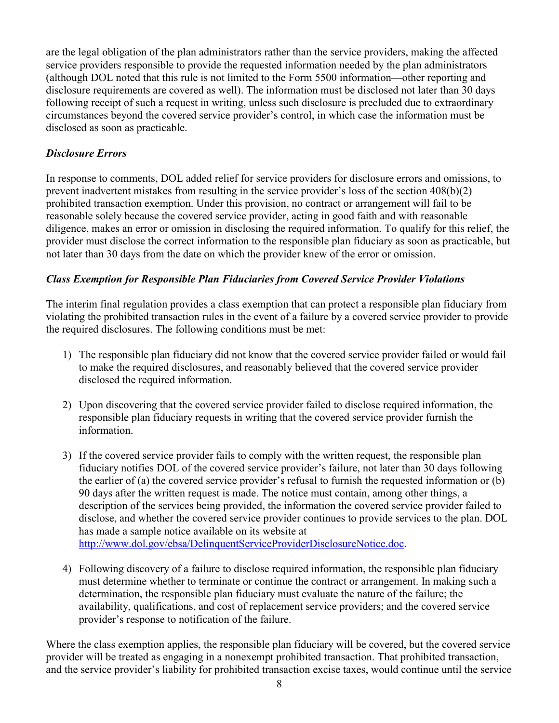are the legal obligation of the plan administrators rather than the service providers, making the affected service providers responsible to provide the requested information needed by the plan administrators (although DOL noted that this rule is not limited to the Form 5500 information—other reporting and disclosure requirements are covered as well). The information must be disclosed not later than 30 days following receipt of such a request in writing, unless such disclosure is precluded due to extraordinary circumstances beyond the covered service provider's control, in which case the information must be disclosed as soon as practicable.

## *Disclosure Errors*

In response to comments, DOL added relief for service providers for disclosure errors and omissions, to prevent inadvertent mistakes from resulting in the service provider's loss of the section 408(b)(2) prohibited transaction exemption. Under this provision, no contract or arrangement will fail to be reasonable solely because the covered service provider, acting in good faith and with reasonable diligence, makes an error or omission in disclosing the required information. To qualify for this relief, the provider must disclose the correct information to the responsible plan fiduciary as soon as practicable, but not later than 30 days from the date on which the provider knew of the error or omission.

## *Class Exemption for Responsible Plan Fiduciaries from Covered Service Provider Violations*

The interim final regulation provides a class exemption that can protect a responsible plan fiduciary from violating the prohibited transaction rules in the event of a failure by a covered service provider to provide the required disclosures. The following conditions must be met:

- 1) The responsible plan fiduciary did not know that the covered service provider failed or would fail to make the required disclosures, and reasonably believed that the covered service provider disclosed the required information.
- 2) Upon discovering that the covered service provider failed to disclose required information, the responsible plan fiduciary requests in writing that the covered service provider furnish the information.
- 3) If the covered service provider fails to comply with the written request, the responsible plan fiduciary notifies DOL of the covered service provider's failure, not later than 30 days following the earlier of (a) the covered service provider's refusal to furnish the requested information or (b) 90 days after the written request is made. The notice must contain, among other things, a description of the services being provided, the information the covered service provider failed to disclose, and whether the covered service provider continues to provide services to the plan. DOL has made a sample notice available on its website at [http://www.dol.gov/ebsa/DelinquentServiceProviderDisclosureNotice.doc.](http://www.dol.gov/ebsa/DelinquentServiceProviderDisclosureNotice.doc)
- 4) Following discovery of a failure to disclose required information, the responsible plan fiduciary must determine whether to terminate or continue the contract or arrangement. In making such a determination, the responsible plan fiduciary must evaluate the nature of the failure; the availability, qualifications, and cost of replacement service providers; and the covered service provider's response to notification of the failure.

Where the class exemption applies, the responsible plan fiduciary will be covered, but the covered service provider will be treated as engaging in a nonexempt prohibited transaction. That prohibited transaction, and the service provider's liability for prohibited transaction excise taxes, would continue until the service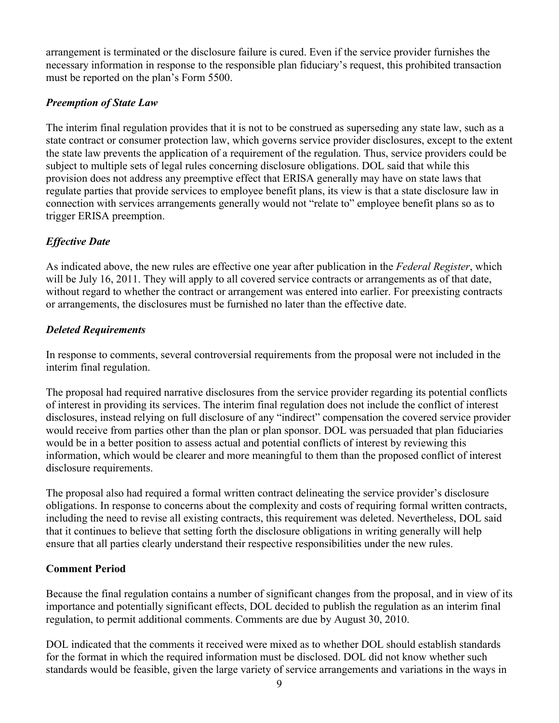arrangement is terminated or the disclosure failure is cured. Even if the service provider furnishes the necessary information in response to the responsible plan fiduciary's request, this prohibited transaction must be reported on the plan's Form 5500.

## *Preemption of State Law*

The interim final regulation provides that it is not to be construed as superseding any state law, such as a state contract or consumer protection law, which governs service provider disclosures, except to the extent the state law prevents the application of a requirement of the regulation. Thus, service providers could be subject to multiple sets of legal rules concerning disclosure obligations. DOL said that while this provision does not address any preemptive effect that ERISA generally may have on state laws that regulate parties that provide services to employee benefit plans, its view is that a state disclosure law in connection with services arrangements generally would not "relate to" employee benefit plans so as to trigger ERISA preemption.

# *Effective Date*

As indicated above, the new rules are effective one year after publication in the *Federal Register*, which will be July 16, 2011. They will apply to all covered service contracts or arrangements as of that date, without regard to whether the contract or arrangement was entered into earlier. For preexisting contracts or arrangements, the disclosures must be furnished no later than the effective date.

## *Deleted Requirements*

In response to comments, several controversial requirements from the proposal were not included in the interim final regulation.

The proposal had required narrative disclosures from the service provider regarding its potential conflicts of interest in providing its services. The interim final regulation does not include the conflict of interest disclosures, instead relying on full disclosure of any "indirect" compensation the covered service provider would receive from parties other than the plan or plan sponsor. DOL was persuaded that plan fiduciaries would be in a better position to assess actual and potential conflicts of interest by reviewing this information, which would be clearer and more meaningful to them than the proposed conflict of interest disclosure requirements.

The proposal also had required a formal written contract delineating the service provider's disclosure obligations. In response to concerns about the complexity and costs of requiring formal written contracts, including the need to revise all existing contracts, this requirement was deleted. Nevertheless, DOL said that it continues to believe that setting forth the disclosure obligations in writing generally will help ensure that all parties clearly understand their respective responsibilities under the new rules.

# **Comment Period**

Because the final regulation contains a number of significant changes from the proposal, and in view of its importance and potentially significant effects, DOL decided to publish the regulation as an interim final regulation, to permit additional comments. Comments are due by August 30, 2010.

DOL indicated that the comments it received were mixed as to whether DOL should establish standards for the format in which the required information must be disclosed. DOL did not know whether such standards would be feasible, given the large variety of service arrangements and variations in the ways in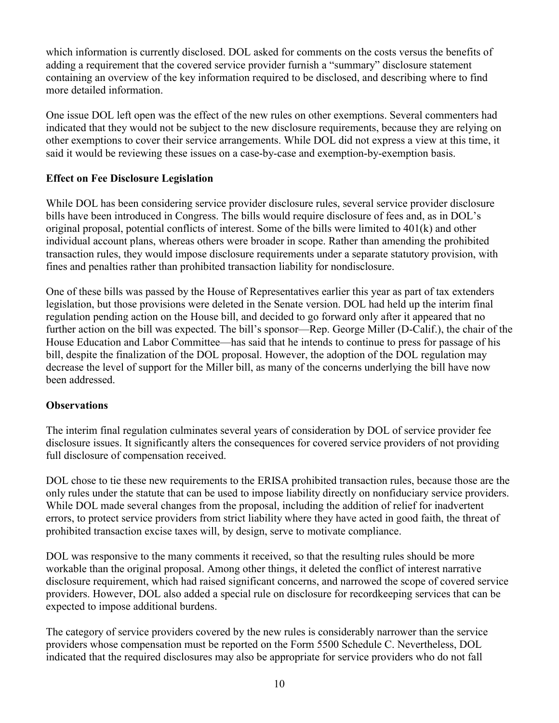which information is currently disclosed. DOL asked for comments on the costs versus the benefits of adding a requirement that the covered service provider furnish a "summary" disclosure statement containing an overview of the key information required to be disclosed, and describing where to find more detailed information.

One issue DOL left open was the effect of the new rules on other exemptions. Several commenters had indicated that they would not be subject to the new disclosure requirements, because they are relying on other exemptions to cover their service arrangements. While DOL did not express a view at this time, it said it would be reviewing these issues on a case-by-case and exemption-by-exemption basis.

## **Effect on Fee Disclosure Legislation**

While DOL has been considering service provider disclosure rules, several service provider disclosure bills have been introduced in Congress. The bills would require disclosure of fees and, as in DOL's original proposal, potential conflicts of interest. Some of the bills were limited to 401(k) and other individual account plans, whereas others were broader in scope. Rather than amending the prohibited transaction rules, they would impose disclosure requirements under a separate statutory provision, with fines and penalties rather than prohibited transaction liability for nondisclosure.

One of these bills was passed by the House of Representatives earlier this year as part of tax extenders legislation, but those provisions were deleted in the Senate version. DOL had held up the interim final regulation pending action on the House bill, and decided to go forward only after it appeared that no further action on the bill was expected. The bill's sponsor—Rep. George Miller (D-Calif.), the chair of the House Education and Labor Committee—has said that he intends to continue to press for passage of his bill, despite the finalization of the DOL proposal. However, the adoption of the DOL regulation may decrease the level of support for the Miller bill, as many of the concerns underlying the bill have now been addressed.

#### **Observations**

The interim final regulation culminates several years of consideration by DOL of service provider fee disclosure issues. It significantly alters the consequences for covered service providers of not providing full disclosure of compensation received.

DOL chose to tie these new requirements to the ERISA prohibited transaction rules, because those are the only rules under the statute that can be used to impose liability directly on nonfiduciary service providers. While DOL made several changes from the proposal, including the addition of relief for inadvertent errors, to protect service providers from strict liability where they have acted in good faith, the threat of prohibited transaction excise taxes will, by design, serve to motivate compliance.

DOL was responsive to the many comments it received, so that the resulting rules should be more workable than the original proposal. Among other things, it deleted the conflict of interest narrative disclosure requirement, which had raised significant concerns, and narrowed the scope of covered service providers. However, DOL also added a special rule on disclosure for recordkeeping services that can be expected to impose additional burdens.

The category of service providers covered by the new rules is considerably narrower than the service providers whose compensation must be reported on the Form 5500 Schedule C. Nevertheless, DOL indicated that the required disclosures may also be appropriate for service providers who do not fall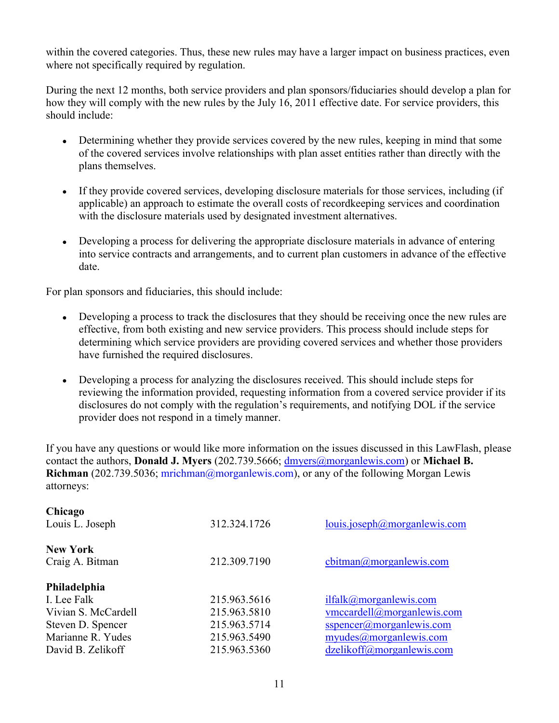within the covered categories. Thus, these new rules may have a larger impact on business practices, even where not specifically required by regulation.

During the next 12 months, both service providers and plan sponsors/fiduciaries should develop a plan for how they will comply with the new rules by the July 16, 2011 effective date. For service providers, this should include:

- Determining whether they provide services covered by the new rules, keeping in mind that some of the covered services involve relationships with plan asset entities rather than directly with the plans themselves.
- If they provide covered services, developing disclosure materials for those services, including (if applicable) an approach to estimate the overall costs of recordkeeping services and coordination with the disclosure materials used by designated investment alternatives.
- Developing a process for delivering the appropriate disclosure materials in advance of entering into service contracts and arrangements, and to current plan customers in advance of the effective date.

For plan sponsors and fiduciaries, this should include:

- Developing a process to track the disclosures that they should be receiving once the new rules are effective, from both existing and new service providers. This process should include steps for determining which service providers are providing covered services and whether those providers have furnished the required disclosures.
- Developing a process for analyzing the disclosures received. This should include steps for reviewing the information provided, requesting information from a covered service provider if its disclosures do not comply with the regulation's requirements, and notifying DOL if the service provider does not respond in a timely manner.

If you have any questions or would like more information on the issues discussed in this LawFlash, please contact the authors, **Donald J. Myers** (202.739.5666; [dmyers@morganlewis.com\)](mailto:dmyers@morganlewis.com) or **Michael B. Richman** (202.739.5036; [mrichman@morganlewis.com\)](mailto:mrichman@morganlewis.com), or any of the following Morgan Lewis attorneys:

| Chicago<br>Louis L. Joseph         | 312.324.1726 | louis.joseph@morganlewis.com |
|------------------------------------|--------------|------------------------------|
| <b>New York</b><br>Craig A. Bitman | 212.309.7190 | cbitman@morganlewis.com      |
| Philadelphia                       |              |                              |
| I. Lee Falk                        | 215.963.5616 | ilfalk@morganlewis.com       |
| Vivian S. McCardell                | 215.963.5810 | vmccardell@morganlewis.com   |
| Steven D. Spencer                  | 215.963.5714 | sspencer@morganlewis.com     |
| Marianne R. Yudes                  | 215.963.5490 | myudes@moreanlewis.com       |
| David B. Zelikoff                  | 215.963.5360 | dzelikoff@morganlewis.com    |